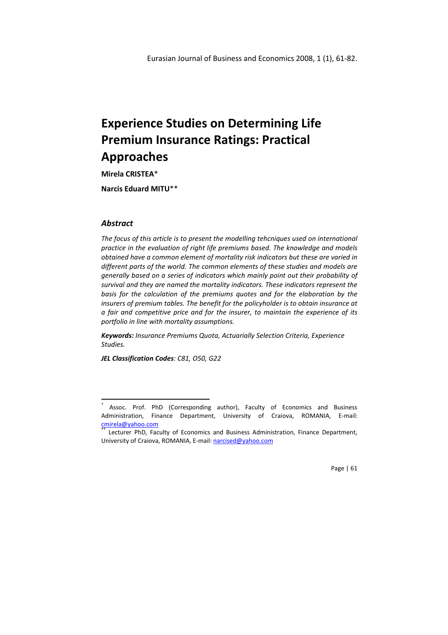Mirela CRISTEA\*

Narcis Eduard MITU\*\*

## Abstract

 $\overline{a}$ 

The focus of this article is to present the modelling tehcniques used on international practice in the evaluation of right life premiums based. The knowledge and models obtained have a common element of mortality risk indicators but these are varied in different parts of the world. The common elements of these studies and models are generally based on a series of indicators which mainly point out their probability of survival and they are named the mortality indicators. These indicators represent the basis for the calculation of the premiums quotes and for the elaboration by the insurers of premium tables. The benefit for the policyholder is to obtain insurance at a fair and competitive price and for the insurer, to maintain the experience of its portfolio in line with mortality assumptions.

Keywords: Insurance Premiums Quota, Actuarially Selection Criteria, Experience Studies.

JEL Classification Codes: C81, O50, G22

Page | 61

<sup>\*</sup> Assoc. Prof. PhD (Corresponding author), Faculty of Economics and Business Administration, Finance Department, University of Craiova, ROMANIA, E-mail: cmirela@yahoo.com

Lecturer PhD, Faculty of Economics and Business Administration, Finance Department, University of Craiova, ROMANIA, E-mail: narcised@yahoo.com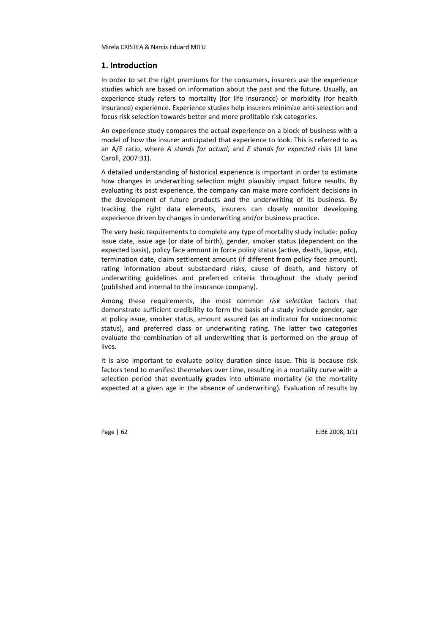## 1. Introduction

In order to set the right premiums for the consumers, insurers use the experience studies which are based on information about the past and the future. Usually, an experience study refers to mortality (for life insurance) or morbidity (for health insurance) experience. Experience studies help insurers minimize anti-selection and focus risk selection towards better and more profitable risk categories.

An experience study compares the actual experience on a block of business with a model of how the insurer anticipated that experience to look. This is referred to as an  $A/E$  ratio, where A stands for actual, and E stands for expected risks (JJ lane Caroll, 2007:31).

A detailed understanding of historical experience is important in order to estimate how changes in underwriting selection might plausibly impact future results. By evaluating its past experience, the company can make more confident decisions in the development of future products and the underwriting of its business. By tracking the right data elements, insurers can closely monitor developing experience driven by changes in underwriting and/or business practice.

The very basic requirements to complete any type of mortality study include: policy issue date, issue age (or date of birth), gender, smoker status (dependent on the expected basis), policy face amount in force policy status (active, death, lapse, etc), termination date, claim settlement amount (if different from policy face amount), rating information about substandard risks, cause of death, and history of underwriting guidelines and preferred criteria throughout the study period (published and internal to the insurance company).

Among these requirements, the most common risk selection factors that demonstrate sufficient credibility to form the basis of a study include gender, age at policy issue, smoker status, amount assured (as an indicator for socioeconomic status), and preferred class or underwriting rating. The latter two categories evaluate the combination of all underwriting that is performed on the group of lives.

It is also important to evaluate policy duration since issue. This is because risk factors tend to manifest themselves over time, resulting in a mortality curve with a selection period that eventually grades into ultimate mortality (ie the mortality expected at a given age in the absence of underwriting). Evaluation of results by

Page | 62 EJBE 2008, 1(1)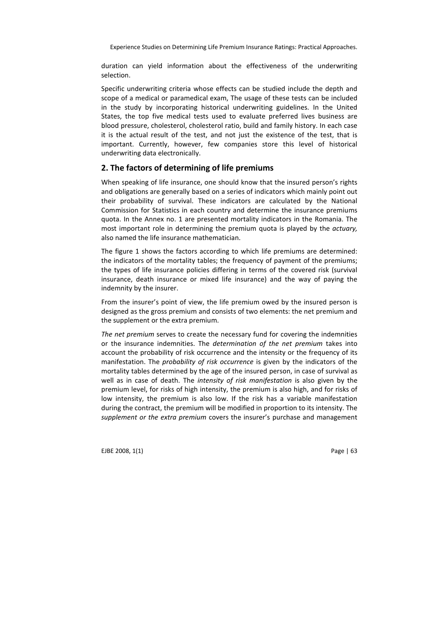duration can yield information about the effectiveness of the underwriting selection.

Specific underwriting criteria whose effects can be studied include the depth and scope of a medical or paramedical exam, The usage of these tests can be included in the study by incorporating historical underwriting guidelines. In the United States, the top five medical tests used to evaluate preferred lives business are blood pressure, cholesterol, cholesterol ratio, build and family history. In each case it is the actual result of the test, and not just the existence of the test, that is important. Currently, however, few companies store this level of historical underwriting data electronically.

## 2. The factors of determining of life premiums

When speaking of life insurance, one should know that the insured person's rights and obligations are generally based on a series of indicators which mainly point out their probability of survival. These indicators are calculated by the National Commission for Statistics in each country and determine the insurance premiums quota. In the Annex no. 1 are presented mortality indicators in the Romania. The most important role in determining the premium quota is played by the actuary, also named the life insurance mathematician.

The figure 1 shows the factors according to which life premiums are determined: the indicators of the mortality tables; the frequency of payment of the premiums; the types of life insurance policies differing in terms of the covered risk (survival insurance, death insurance or mixed life insurance) and the way of paying the indemnity by the insurer.

From the insurer's point of view, the life premium owed by the insured person is designed as the gross premium and consists of two elements: the net premium and the supplement or the extra premium.

The net premium serves to create the necessary fund for covering the indemnities or the insurance indemnities. The determination of the net premium takes into account the probability of risk occurrence and the intensity or the frequency of its manifestation. The *probability of risk occurrence* is given by the indicators of the mortality tables determined by the age of the insured person, in case of survival as well as in case of death. The *intensity of risk manifestation* is also given by the premium level, for risks of high intensity, the premium is also high, and for risks of low intensity, the premium is also low. If the risk has a variable manifestation during the contract, the premium will be modified in proportion to its intensity. The supplement or the extra premium covers the insurer's purchase and management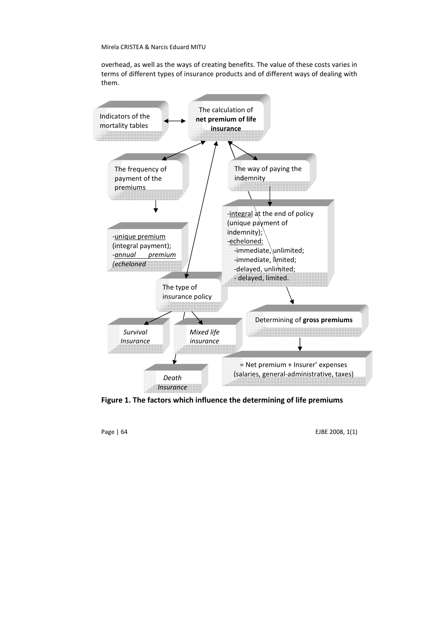overhead, as well as the ways of creating benefits. The value of these costs varies in terms of different types of insurance products and of different ways of dealing with them.



Figure 1. The factors which influence the determining of life premiums

Page | 64 EJBE 2008, 1(1)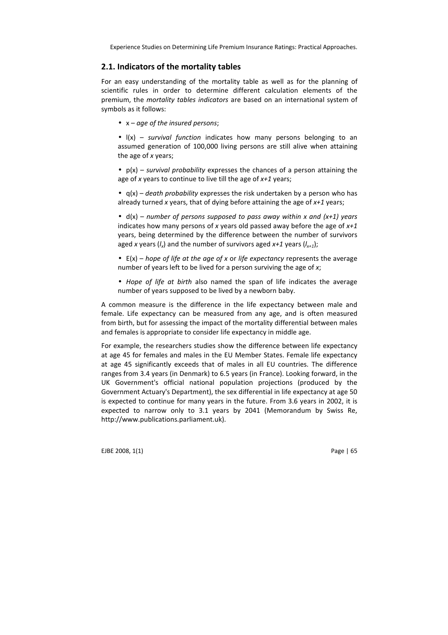## 2.1. Indicators of the mortality tables

For an easy understanding of the mortality table as well as for the planning of scientific rules in order to determine different calculation elements of the premium, the mortality tables indicators are based on an international system of symbols as it follows:

•  $x - a$  ae of the insured persons:

 $\bullet$   $\vert$ (x) – *survival function* indicates how many persons belonging to an assumed generation of 100,000 living persons are still alive when attaining the age of x years;

•  $p(x)$  – survival probability expresses the chances of a person attaining the age of x years to continue to live till the age of  $x+1$  years;

•  $q(x)$  – death probability expresses the risk undertaken by a person who has already turned x years, that of dying before attaining the age of  $x+1$  years;

•  $d(x)$  – number of persons supposed to pass away within x and  $(x+1)$  years indicates how many persons of x years old passed away before the age of  $x+1$ years, being determined by the difference between the number of survivors aged x years ( $l_x$ ) and the number of survivors aged x+1 years ( $l_{x+1}$ );

 $\bullet$  E(x) – hope of life at the age of x or life expectancy represents the average number of years left to be lived for a person surviving the age of  $x$ ;

• Hope of life at birth also named the span of life indicates the average number of years supposed to be lived by a newborn baby.

A common measure is the difference in the life expectancy between male and female. Life expectancy can be measured from any age, and is often measured from birth, but for assessing the impact of the mortality differential between males and females is appropriate to consider life expectancy in middle age.

For example, the researchers studies show the difference between life expectancy at age 45 for females and males in the EU Member States. Female life expectancy at age 45 significantly exceeds that of males in all EU countries. The difference ranges from 3.4 years (in Denmark) to 6.5 years (in France). Looking forward, in the UK Government's official national population projections (produced by the Government Actuary's Department), the sex differential in life expectancy at age 50 is expected to continue for many years in the future. From 3.6 years in 2002, it is expected to narrow only to 3.1 years by 2041 (Memorandum by Swiss Re, http://www.publications.parliament.uk).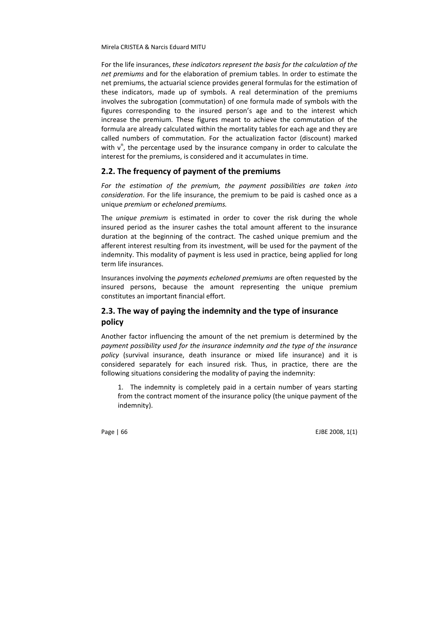For the life insurances, these indicators represent the basis for the calculation of the net premiums and for the elaboration of premium tables. In order to estimate the net premiums, the actuarial science provides general formulas for the estimation of these indicators, made up of symbols. A real determination of the premiums involves the subrogation (commutation) of one formula made of symbols with the figures corresponding to the insured person's age and to the interest which increase the premium. These figures meant to achieve the commutation of the formula are already calculated within the mortality tables for each age and they are called numbers of commutation. For the actualization factor (discount) marked with  $v^n$ , the percentage used by the insurance company in order to calculate the interest for the premiums, is considered and it accumulates in time.

## 2.2. The frequency of payment of the premiums

For the estimation of the premium, the payment possibilities are taken into consideration. For the life insurance, the premium to be paid is cashed once as a unique premium or echeloned premiums.

The unique premium is estimated in order to cover the risk during the whole insured period as the insurer cashes the total amount afferent to the insurance duration at the beginning of the contract. The cashed unique premium and the afferent interest resulting from its investment, will be used for the payment of the indemnity. This modality of payment is less used in practice, being applied for long term life insurances.

Insurances involving the payments echeloned premiums are often requested by the insured persons, because the amount representing the unique premium constitutes an important financial effort.

# 2.3. The way of paying the indemnity and the type of insurance policy

Another factor influencing the amount of the net premium is determined by the payment possibility used for the insurance indemnity and the type of the insurance policy (survival insurance, death insurance or mixed life insurance) and it is considered separately for each insured risk. Thus, in practice, there are the following situations considering the modality of paying the indemnity:

1. The indemnity is completely paid in a certain number of years starting from the contract moment of the insurance policy (the unique payment of the indemnity).

Page | 66 EJBE 2008, 1(1)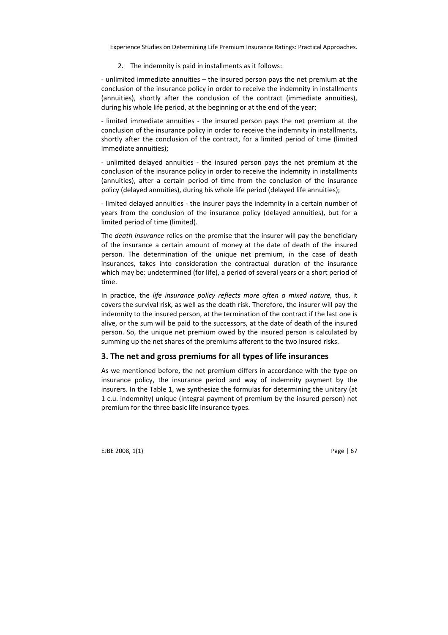### 2. The indemnity is paid in installments as it follows:

- unlimited immediate annuities – the insured person pays the net premium at the conclusion of the insurance policy in order to receive the indemnity in installments (annuities), shortly after the conclusion of the contract (immediate annuities), during his whole life period, at the beginning or at the end of the year;

- limited immediate annuities - the insured person pays the net premium at the conclusion of the insurance policy in order to receive the indemnity in installments, shortly after the conclusion of the contract, for a limited period of time (limited immediate annuities);

- unlimited delayed annuities - the insured person pays the net premium at the conclusion of the insurance policy in order to receive the indemnity in installments (annuities), after a certain period of time from the conclusion of the insurance policy (delayed annuities), during his whole life period (delayed life annuities);

- limited delayed annuities - the insurer pays the indemnity in a certain number of years from the conclusion of the insurance policy (delayed annuities), but for a limited period of time (limited).

The death insurance relies on the premise that the insurer will pay the beneficiary of the insurance a certain amount of money at the date of death of the insured person. The determination of the unique net premium, in the case of death insurances, takes into consideration the contractual duration of the insurance which may be: undetermined (for life), a period of several years or a short period of time.

In practice, the life insurance policy reflects more often a mixed nature, thus, it covers the survival risk, as well as the death risk. Therefore, the insurer will pay the indemnity to the insured person, at the termination of the contract if the last one is alive, or the sum will be paid to the successors, at the date of death of the insured person. So, the unique net premium owed by the insured person is calculated by summing up the net shares of the premiums afferent to the two insured risks.

## 3. The net and gross premiums for all types of life insurances

As we mentioned before, the net premium differs in accordance with the type on insurance policy, the insurance period and way of indemnity payment by the insurers. In the Table 1, we synthesize the formulas for determining the unitary (at 1 c.u. indemnity) unique (integral payment of premium by the insured person) net premium for the three basic life insurance types.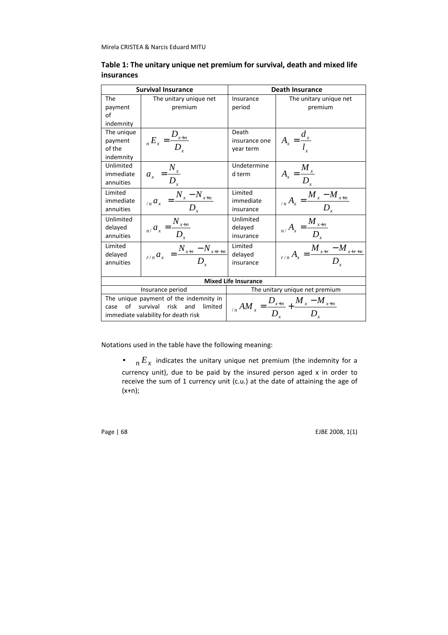|                                              | <b>Survival Insurance</b>                                                                                           | <b>Death Insurance</b>                                               |                                                |  |  |  |
|----------------------------------------------|---------------------------------------------------------------------------------------------------------------------|----------------------------------------------------------------------|------------------------------------------------|--|--|--|
| The<br>payment<br>of<br>indemnity            | The unitary unique net<br>premium                                                                                   | Insurance<br>period                                                  | The unitary unique net<br>premium              |  |  |  |
| The unique<br>payment<br>of the<br>indemnity | $_{n}E_{x}=\frac{D_{x+n}}{D_{x}}$                                                                                   | Death<br>insurance one<br>year term                                  | $A_x = \frac{a_x}{l}$                          |  |  |  |
| Unlimited<br>immediate<br>annuities          | $\overline{a_x} = \frac{N_x}{D_x}$                                                                                  | Undetermine<br>d term                                                | $\overline{A_x} = \frac{M_x}{D_x}$             |  |  |  |
| Limited<br>immediate<br>annuities            | $\sum_{n} a_x = \frac{N_x - N_{x+n}}{D_x}$                                                                          | Limited<br>immediate<br>insurance                                    | $_{n}A_{x} = \frac{M_{x} - M_{x+n}}{D_{x}}$    |  |  |  |
| Unlimited<br>delayed<br>annuities            | $\frac{1}{n_1 a_x} = \frac{N_{x+n}}{D_x}$                                                                           | Unlimited<br>delayed<br>insurance                                    | $\frac{1}{n_{1}A_{x}} = \frac{M_{x+n}}{D_{x}}$ |  |  |  |
| Limited<br>delayed<br>annuities              | $_{r/n} a_x = \frac{N_{x+r} - N_{x+r+n}}{D}$                                                                        | Limited<br>delayed<br>insurance                                      | $_{r/n} A_x = \frac{M_{x+r} - M_{x+r+n}}{D}$   |  |  |  |
| <b>Mixed Life Insurance</b>                  |                                                                                                                     |                                                                      |                                                |  |  |  |
|                                              | Insurance period                                                                                                    | The unitary unique net premium                                       |                                                |  |  |  |
| of<br>case                                   | The unique payment of the indemnity in<br>survival<br>risk<br>limited<br>and<br>immediate valability for death risk | $_{n}AM_{x} = \frac{D_{x+n}}{D_{x}} + \frac{M_{x} - M_{x+n}}{D_{x}}$ |                                                |  |  |  |

# Table 1: The unitary unique net premium for survival, death and mixed life insurances

Notations used in the table have the following meaning:

•  $n E_x$  indicates the unitary unique net premium (the indemnity for a currency unit), due to be paid by the insured person aged x in order to receive the sum of 1 currency unit (c.u.) at the date of attaining the age of  $(x+n);$ 

Page | 68 EJBE 2008, 1(1)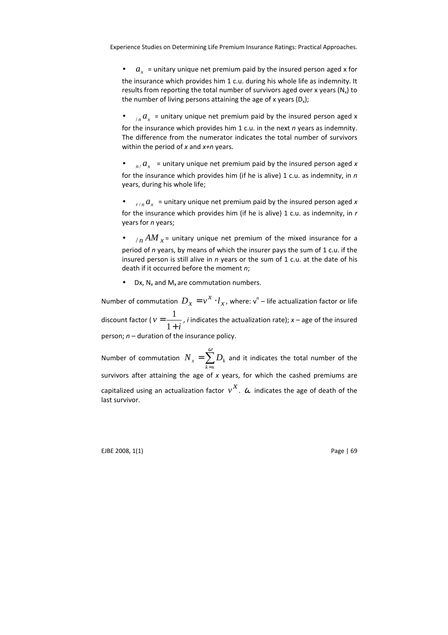$\bullet$   $a_x$  = unitary unique net premium paid by the insured person aged x for the insurance which provides him 1 c.u. during his whole life as indemnity. It results from reporting the total number of survivors aged over x years (N<sub>x</sub>) to the number of living persons attaining the age of x years  $(D_x)$ ;

 $\bullet$   $\alpha$ <sub>*n</sub>*  $a$ <sub>*x*</sub> = unitary unique net premium paid by the insured person aged x</sub> for the insurance which provides him 1 c.u. in the next  $n$  years as indemnity. The difference from the numerator indicates the total number of survivors within the period of  $x$  and  $x+n$  years.

•  $n / a_x$  = unitary unique net premium paid by the insured person aged x for the insurance which provides him (if he is alive) 1 c.u. as indemnity, in  $n$ years, during his whole life;

•  $r/n$   $a_x$  = unitary unique net premium paid by the insured person aged x for the insurance which provides him (if he is alive) 1 c.u. as indemnity, in  $r$ years for *n* years;

 $\bullet$   $\beta$  / $\beta$  / $\gamma$  / $AM$   $_{x}$  = unitary unique net premium of the mixed insurance for a period of  $n$  years, by means of which the insurer pays the sum of 1 c.u. if the insured person is still alive in  $n$  years or the sum of 1 c.u. at the date of his death if it occurred before the moment n;

• Dx,  $N_x$  and  $M_x$  are commutation numbers.

Number of commutation  $D_x = v^X \cdot l_x$ , where:  $\mathsf{v}^\mathsf{n}$  – life actualization factor or life discount factor ( *i v* + = 1  $\frac{1}{x}$ , *i* indicates the actualization rate);  $x$  – age of the insured person;  $n -$  duration of the insurance policy.

Number of commutation  $N_{x}=\sum^{x}$ =  $=$  $\sum_{n=1}^{\infty}$ *k x*  $N_{_X}$   $=\sum D_{k}$  and it indicates the total number of the survivors after attaining the age of  $x$  years, for which the cashed premiums are capitalized using an actualization factor  $v^X$ .  $\omega$  indicates the age of death of the last survivor.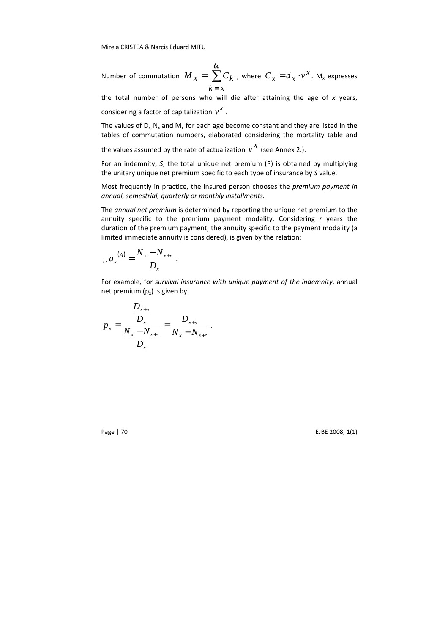Number of commutation  $M_{x} = \sum$  $k = x$ ω  $M_{x} = \sum C_{k}$  , where  $C_{x} = d_{x} \cdot v^{x}$ . M<sub>x</sub> expresses

the total number of persons who will die after attaining the age of  $x$  years, considering a factor of capitalization  $v^{\mathcal{X}}$  .

The values of  $D_{x}$ ,  $N_{x}$  and  $M_{x}$  for each age become constant and they are listed in the tables of commutation numbers, elaborated considering the mortality table and

the values assumed by the rate of actualization  $v^{\mathcal{X}}$  (see Annex 2.).

For an indemnity, S, the total unique net premium (P) is obtained by multiplying the unitary unique net premium specific to each type of insurance by S value.

Most frequently in practice, the insured person chooses the premium payment in annual, semestrial, quarterly or monthly installments.

The annual net premium is determined by reporting the unique net premium to the annuity specific to the premium payment modality. Considering  $r$  years the duration of the premium payment, the annuity specific to the payment modality (a limited immediate annuity is considered), is given by the relation:

$$
_{/r} a_x^{(A)} = \frac{N_x - N_{x+r}}{D_x}.
$$

For example, for survival insurance with unique payment of the indemnity, annual net premium  $(p_x)$  is given by:

$$
p_{x} = \frac{\frac{D_{x+n}}{D_{x}}}{\frac{N_{x} - N_{x+r}}{D_{x}}} = \frac{D_{x+n}}{N_{x} - N_{x+r}}.
$$

Page | 70 EJBE 2008, 1(1)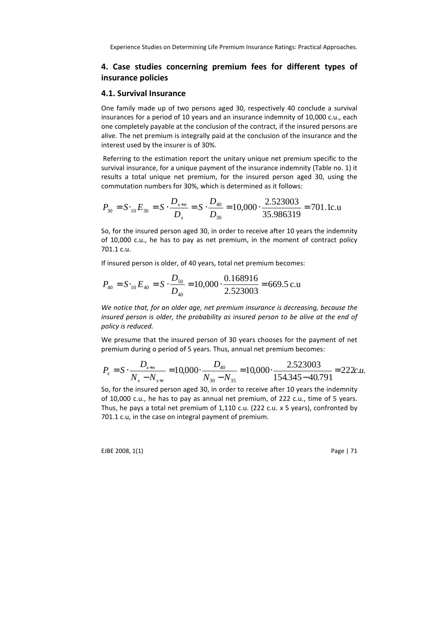# 4. Case studies concerning premium fees for different types of insurance policies

### 4.1. Survival Insurance

One family made up of two persons aged 30, respectively 40 conclude a survival insurances for a period of 10 years and an insurance indemnity of 10,000 c.u., each one completely payable at the conclusion of the contract, if the insured persons are alive. The net premium is integrally paid at the conclusion of the insurance and the interest used by the insurer is of 30%.

 Referring to the estimation report the unitary unique net premium specific to the survival insurance, for a unique payment of the insurance indemnity (Table no. 1) it results a total unique net premium, for the insured person aged 30, using the commutation numbers for 30%, which is determined as it follows:

$$
P_{30} = S \cdot_{10} E_{30} = S \cdot \frac{D_{x+n}}{D_x} = S \cdot \frac{D_{40}}{D_{30}} = 10,000 \cdot \frac{2.523003}{35.986319} = 701.1 \text{c.u.}
$$

So, for the insured person aged 30, in order to receive after 10 years the indemnity of 10,000 c.u., he has to pay as net premium, in the moment of contract policy 701.1 c.u.

If insured person is older, of 40 years, total net premium becomes:

$$
P_{40} = S_{10}E_{40} = S \cdot \frac{D_{50}}{D_{40}} = 10,000 \cdot \frac{0.168916}{2.523003} = 669.5 \text{ c.u.}
$$

We notice that, for an older age, net premium insurance is decreasing, because the insured person is older, the probability as insured person to be alive at the end of policy is reduced.

We presume that the insured person of 30 years chooses for the payment of net premium during o period of 5 years. Thus, annual net premium becomes:

$$
P_x = S \cdot \frac{D_{x+n}}{N_x - N_{x+r}} = 10,000 \cdot \frac{D_{40}}{N_{30} - N_{35}} = 10,000 \cdot \frac{2.523003}{154.345 - 40.791} = 222c.u.
$$

So, for the insured person aged 30, in order to receive after 10 years the indemnity of 10,000 c.u., he has to pay as annual net premium, of 222 c.u., time of 5 years. Thus, he pays a total net premium of 1,110 c.u. (222 c.u. x 5 years), confronted by 701.1 c.u, in the case on integral payment of premium.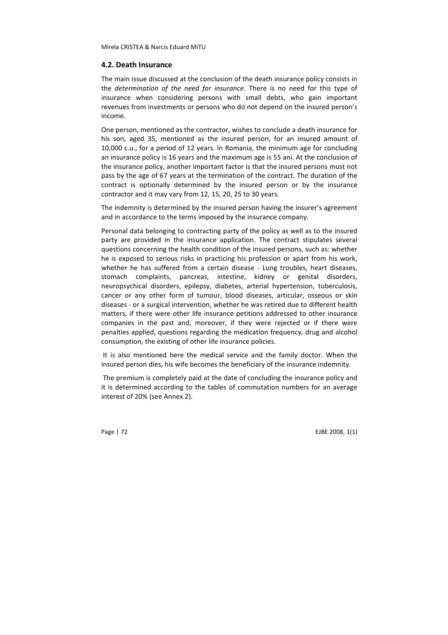#### 4.2. Death Insurance

The main issue discussed at the conclusion of the death insurance policy consists in the determination of the need for insurance. There is no need for this type of insurance when considering persons with small debts, who gain important revenues from investments or persons who do not depend on the insured person's income.

One person, mentioned as the contractor, wishes to conclude a death insurance for his son, aged 35, mentioned as the insured person, for an insured amount of 10,000 c.u., for a period of 12 years. In Romania, the minimum age for concluding an insurance policy is 16 years and the maximum age is 55 ani. At the conclusion of the insurance policy, another important factor is that the insured persons must not pass by the age of 67 years at the termination of the contract. The duration of the contract is optionally determined by the insured person or by the insurance contractor and it may vary from 12, 15, 20, 25 to 30 years.

The indemnity is determined by the insured person having the insurer's agreement and in accordance to the terms imposed by the insurance company.

Personal data belonging to contracting party of the policy as well as to the insured party are provided in the insurance application. The contract stipulates several questions concerning the health condition of the insured persons, such as: whether he is exposed to serious risks in practicing his profession or apart from his work, whether he has suffered from a certain disease - Lung troubles, heart diseases, stomach complaints, pancreas, intestine, kidney or genital disorders, neuropsychical disorders, epilepsy, diabetes, arterial hypertension, tuberculosis, cancer or any other form of tumour, blood diseases, articular, osseous or skin diseases - or a surgical intervention, whether he was retired due to different health matters, if there were other life insurance petitions addressed to other insurance companies in the past and, moreover, if they were rejected or if there were penalties applied, questions regarding the medication frequency, drug and alcohol consumption, the existing of other life insurance policies.

 It is also mentioned here the medical service and the family doctor. When the insured person dies, his wife becomes the beneficiary of the insurance indemnity.

 The premium is completely paid at the date of concluding the insurance policy and it is determined according to the tables of commutation numbers for an average interest of 20% (see Annex 2).

Page | 72 EJBE 2008, 1(1)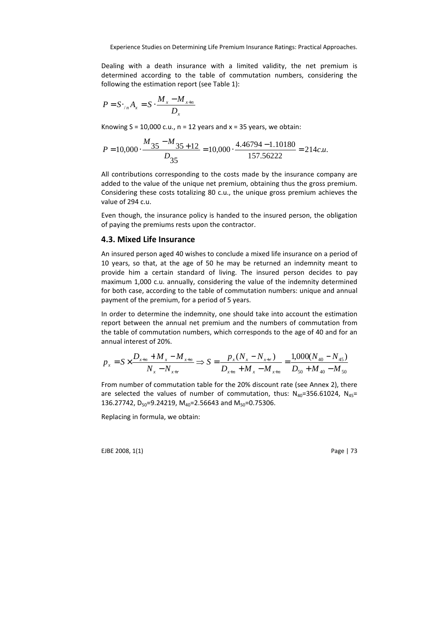Dealing with a death insurance with a limited validity, the net premium is determined according to the table of commutation numbers, considering the following the estimation report (see Table 1):

$$
P = S \cdot_{/n} A_x = S \cdot \frac{M_x - M_{x+n}}{D_x}
$$

Knowing  $S = 10,000$  c.u.,  $n = 12$  years and  $x = 35$  years, we obtain:

$$
P = 10,000 \cdot \frac{M_{35} - M_{35 + 12}}{D_{35}} = 10,000 \cdot \frac{4.46794 - 1.10180}{157.56222} = 214c.u.
$$

All contributions corresponding to the costs made by the insurance company are added to the value of the unique net premium, obtaining thus the gross premium. Considering these costs totalizing 80 c.u., the unique gross premium achieves the value of 294 c.u.

Even though, the insurance policy is handed to the insured person, the obligation of paying the premiums rests upon the contractor.

## 4.3. Mixed Life Insurance

An insured person aged 40 wishes to conclude a mixed life insurance on a period of 10 years, so that, at the age of 50 he may be returned an indemnity meant to provide him a certain standard of living. The insured person decides to pay maximum 1,000 c.u. annually, considering the value of the indemnity determined for both case, according to the table of commutation numbers: unique and annual payment of the premium, for a period of 5 years.

In order to determine the indemnity, one should take into account the estimation report between the annual net premium and the numbers of commutation from the table of commutation numbers, which corresponds to the age of 40 and for an annual interest of 20%.

$$
p_{x} = S \times \frac{D_{x+n} + M_{x} - M_{x+n}}{N_{x} - N_{x+r}} \Rightarrow S = \frac{p_{x}(N_{x} - N_{x+r})}{D_{x+n} + M_{x} - M_{x+n}} = \frac{1,000(N_{40} - N_{45})}{D_{50} + M_{40} - M_{50}}
$$

From number of commutation table for the 20% discount rate (see Annex 2), there are selected the values of number of commutation, thus:  $N_{40}=356.61024$ ,  $N_{45}=$ 136.27742,  $D_{50}$ =9.24219, M<sub>40</sub>=2.56643 and M<sub>50</sub>=0.75306.

Replacing in formula, we obtain: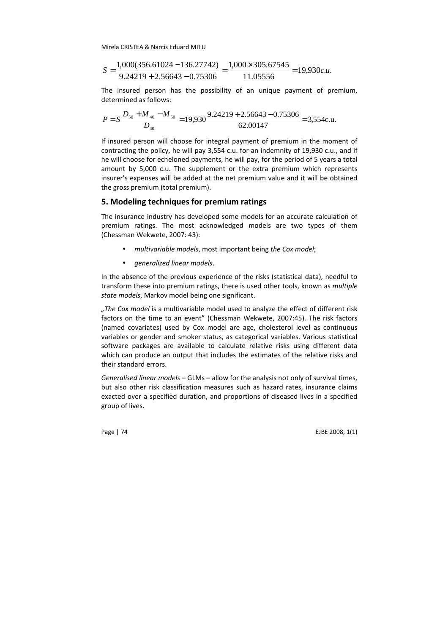$$
S = \frac{1,000(356.61024 - 136.27742)}{9.24219 + 2.56643 - 0.75306} = \frac{1,000 \times 305.67545}{11.05556} = 19,930c.u.
$$

The insured person has the possibility of an unique payment of premium, determined as follows:

$$
P = S \frac{D_{50} + M_{40} - M_{50}}{D_{40}} = 19,930 \frac{9.24219 + 2.56643 - 0.75306}{62.00147} = 3,554 \text{c.u.}
$$

If insured person will choose for integral payment of premium in the moment of contracting the policy, he will pay 3,554 c.u. for an indemnity of 19,930 c.u., and if he will choose for echeloned payments, he will pay, for the period of 5 years a total amount by 5,000 c.u. The supplement or the extra premium which represents insurer's expenses will be added at the net premium value and it will be obtained the gross premium (total premium).

## 5. Modeling techniques for premium ratings

The insurance industry has developed some models for an accurate calculation of premium ratings. The most acknowledged models are two types of them (Chessman Wekwete, 2007: 43):

- multivariable models, most important being the Cox model;
- generalized linear models.

In the absence of the previous experience of the risks (statistical data), needful to transform these into premium ratings, there is used other tools, known as multiple state models, Markov model being one significant.

"The Cox model is a multivariable model used to analyze the effect of different risk factors on the time to an event" (Chessman Wekwete, 2007:45). The risk factors (named covariates) used by Cox model are age, cholesterol level as continuous variables or gender and smoker status, as categorical variables. Various statistical software packages are available to calculate relative risks using different data which can produce an output that includes the estimates of the relative risks and their standard errors.

Generalised linear models – GLMs – allow for the analysis not only of survival times, but also other risk classification measures such as hazard rates, insurance claims exacted over a specified duration, and proportions of diseased lives in a specified group of lives.

Page | 74 EJBE 2008, 1(1)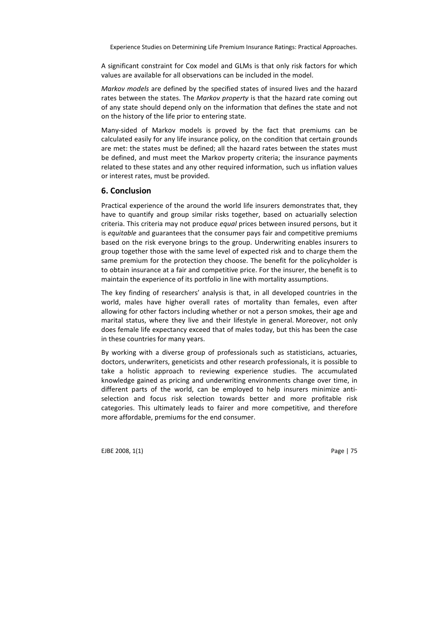A significant constraint for Cox model and GLMs is that only risk factors for which values are available for all observations can be included in the model.

Markov models are defined by the specified states of insured lives and the hazard rates between the states. The Markov property is that the hazard rate coming out of any state should depend only on the information that defines the state and not on the history of the life prior to entering state.

Many-sided of Markov models is proved by the fact that premiums can be calculated easily for any life insurance policy, on the condition that certain grounds are met: the states must be defined; all the hazard rates between the states must be defined, and must meet the Markov property criteria; the insurance payments related to these states and any other required information, such us inflation values or interest rates, must be provided.

## 6. Conclusion

Practical experience of the around the world life insurers demonstrates that, they have to quantify and group similar risks together, based on actuarially selection criteria. This criteria may not produce equal prices between insured persons, but it is equitable and guarantees that the consumer pays fair and competitive premiums based on the risk everyone brings to the group. Underwriting enables insurers to group together those with the same level of expected risk and to charge them the same premium for the protection they choose. The benefit for the policyholder is to obtain insurance at a fair and competitive price. For the insurer, the benefit is to maintain the experience of its portfolio in line with mortality assumptions.

The key finding of researchers' analysis is that, in all developed countries in the world, males have higher overall rates of mortality than females, even after allowing for other factors including whether or not a person smokes, their age and marital status, where they live and their lifestyle in general. Moreover, not only does female life expectancy exceed that of males today, but this has been the case in these countries for many years.

By working with a diverse group of professionals such as statisticians, actuaries, doctors, underwriters, geneticists and other research professionals, it is possible to take a holistic approach to reviewing experience studies. The accumulated knowledge gained as pricing and underwriting environments change over time, in different parts of the world, can be employed to help insurers minimize antiselection and focus risk selection towards better and more profitable risk categories. This ultimately leads to fairer and more competitive, and therefore more affordable, premiums for the end consumer.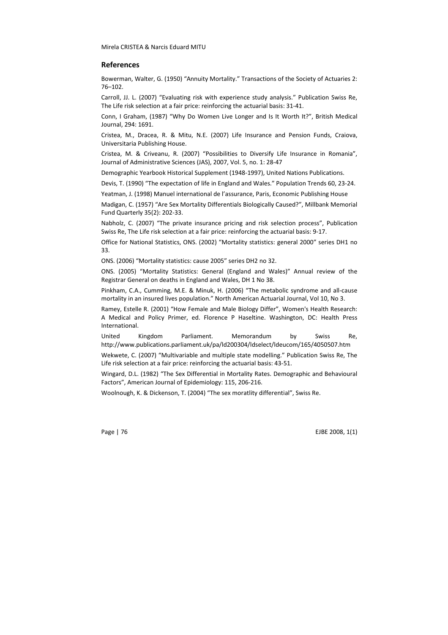#### References

Bowerman, Walter, G. (1950) "Annuity Mortality." Transactions of the Society of Actuaries 2: 76–102.

Carroll, JJ. L. (2007) "Evaluating risk with experience study analysis." Publication Swiss Re, The Life risk selection at a fair price: reinforcing the actuarial basis: 31-41.

Conn, I Graham, (1987) "Why Do Women Live Longer and Is It Worth It?", British Medical Journal, 294: 1691.

Cristea, M., Dracea, R. & Mitu, N.E. (2007) Life Insurance and Pension Funds, Craiova, Universitaria Publishing House.

Cristea, M. & Criveanu, R. (2007) "Possibilities to Diversify Life Insurance in Romania", Journal of Administrative Sciences (JAS), 2007, Vol. 5, no. 1: 28-47

Demographic Yearbook Historical Supplement (1948-1997), United Nations Publications.

Devis, T. (1990) "The expectation of life in England and Wales." Population Trends 60, 23-24.

Yeatman, J. (1998) Manuel international de l'assurance, Paris, Economic Publishing House

Madigan, C. (1957) "Are Sex Mortality Differentials Biologically Caused?", Millbank Memorial Fund Quarterly 35(2): 202-33.

Nabholz, C. (2007) "The private insurance pricing and risk selection process", Publication Swiss Re, The Life risk selection at a fair price: reinforcing the actuarial basis: 9-17.

Office for National Statistics, ONS. (2002) "Mortality statistics: general 2000" series DH1 no 33.

ONS. (2006) "Mortality statistics: cause 2005" series DH2 no 32.

ONS. (2005) "Mortality Statistics: General (England and Wales)" Annual review of the Registrar General on deaths in England and Wales, DH 1 No 38.

Pinkham, C.A., Cumming, M.E. & Minuk, H. (2006) "The metabolic syndrome and all-cause mortality in an insured lives population." North American Actuarial Journal, Vol 10, No 3.

Ramey, Estelle R. (2001) "How Female and Male Biology Differ", Women's Health Research: A Medical and Policy Primer, ed. Florence P Haseltine. Washington, DC: Health Press International.

United Kingdom Parliament. Memorandum by Swiss Re, http://www.publications.parliament.uk/pa/ld200304/ldselect/ldeucom/165/4050507.htm

Wekwete, C. (2007) "Multivariable and multiple state modelling." Publication Swiss Re, The Life risk selection at a fair price: reinforcing the actuarial basis: 43-51.

Wingard, D.L. (1982) "The Sex Differential in Mortality Rates. Demographic and Behavioural Factors", American Journal of Epidemiology: 115, 206-216.

Woolnough, K. & Dickenson, T. (2004) "The sex moratlity differential", Swiss Re.

Page | 76 EJBE 2008, 1(1)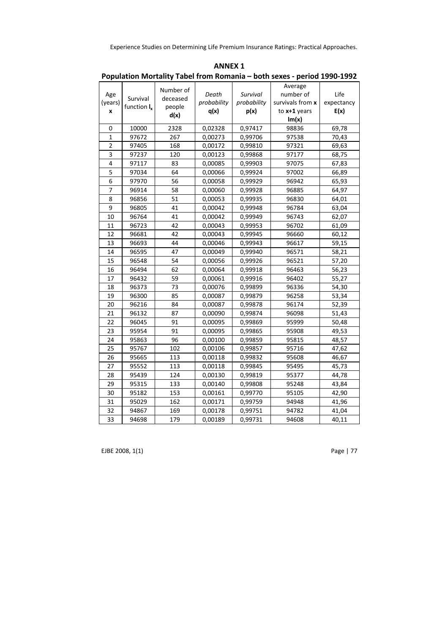|                     |                            |                                         |                              |                                 | r opulation iviortality Tabel Hom Nomania – both sexes - period 1990-1992 |                            |
|---------------------|----------------------------|-----------------------------------------|------------------------------|---------------------------------|---------------------------------------------------------------------------|----------------------------|
| Age<br>(years)<br>x | Survival<br>function $I_x$ | Number of<br>deceased<br>people<br>d(x) | Death<br>probability<br>q(x) | Survival<br>probability<br>p(x) | Average<br>number of<br>survivals from x<br>to $x+1$ years<br>Im(x)       | Life<br>expectancy<br>E(x) |
| $\mathbf 0$         | 10000                      | 2328                                    | 0,02328                      | 0,97417                         | 98836                                                                     | 69,78                      |
| $\mathbf{1}$        |                            |                                         |                              |                                 |                                                                           |                            |
| $\overline{2}$      | 97672<br>97405             | 267<br>168                              | 0,00273<br>0,00172           | 0,99706<br>0,99810              | 97538<br>97321                                                            | 70,43<br>69,63             |
| $\overline{3}$      | 97237                      | 120                                     | 0,00123                      | 0,99868                         | 97177                                                                     | 68,75                      |
| 4                   | 97117                      | 83                                      | 0,00085                      | 0,99903                         | 97075                                                                     |                            |
| 5                   | 97034                      | 64                                      |                              |                                 | 97002                                                                     | 67,83                      |
| 6                   | 97970                      | 56                                      | 0,00066                      | 0,99924                         | 96942                                                                     | 66,89                      |
|                     |                            |                                         | 0,00058                      | 0,99929                         |                                                                           | 65,93                      |
| 7                   | 96914                      | 58                                      | 0,00060                      | 0,99928                         | 96885                                                                     | 64,97                      |
| 8                   | 96856                      | 51                                      | 0,00053                      | 0,99935                         | 96830                                                                     | 64,01                      |
| 9                   | 96805                      | 41                                      | 0,00042                      | 0,99948                         | 96784                                                                     | 63,04                      |
| 10                  | 96764                      | 41                                      | 0,00042                      | 0,99949                         | 96743                                                                     | 62,07                      |
| 11                  | 96723                      | 42                                      | 0,00043                      | 0,99953                         | 96702                                                                     | 61,09                      |
| 12                  | 96681                      | 42                                      | 0,00043                      | 0,99945                         | 96660                                                                     | 60,12                      |
| 13                  | 96693                      | 44                                      | 0,00046                      | 0,99943                         | 96617                                                                     | 59,15                      |
| 14                  | 96595                      | 47                                      | 0,00049                      | 0,99940                         | 96571                                                                     | 58,21                      |
| 15                  | 96548                      | 54                                      | 0,00056                      | 0,99926                         | 96521                                                                     | 57,20                      |
| 16                  | 96494                      | 62                                      | 0,00064                      | 0,99918                         | 96463                                                                     | 56,23                      |
| 17                  | 96432                      | 59                                      | 0,00061                      | 0,99916                         | 96402                                                                     | 55,27                      |
| 18                  | 96373                      | 73                                      | 0,00076                      | 0,99899                         | 96336                                                                     | 54,30                      |
| 19                  | 96300                      | 85                                      | 0,00087                      | 0,99879                         | 96258                                                                     | 53,34                      |
| 20                  | 96216                      | 84                                      | 0,00087                      | 0,99878                         | 96174                                                                     | 52,39                      |
| 21                  | 96132                      | 87                                      | 0,00090                      | 0,99874                         | 96098                                                                     | 51,43                      |
| 22                  | 96045                      | 91                                      | 0,00095                      | 0,99869                         | 95999                                                                     | 50,48                      |
| 23                  | 95954                      | 91                                      | 0,00095                      | 0,99865                         | 95908                                                                     | 49,53                      |
| 24                  | 95863                      | 96                                      | 0,00100                      | 0,99859                         | 95815                                                                     | 48,57                      |
| 25                  | 95767                      | 102                                     | 0,00106                      | 0,99857                         | 95716                                                                     | 47,62                      |
| 26                  | 95665                      | 113                                     | 0,00118                      | 0,99832                         | 95608                                                                     | 46,67                      |
| 27                  | 95552                      | 113                                     | 0,00118                      | 0,99845                         | 95495                                                                     | 45,73                      |
| 28                  | 95439                      | 124                                     | 0,00130                      | 0,99819                         | 95377                                                                     | 44,78                      |
| 29                  | 95315                      | 133                                     | 0,00140                      | 0,99808                         | 95248                                                                     | 43,84                      |
| 30                  | 95182                      | 153                                     | 0,00161                      | 0,99770                         | 95105                                                                     | 42,90                      |
| 31                  | 95029                      | 162                                     | 0,00171                      | 0,99759                         | 94948                                                                     | 41,96                      |
| 32                  | 94867                      | 169                                     | 0,00178                      | 0,99751                         | 94782                                                                     | 41,04                      |
| 33                  | 94698                      | 179                                     | 0,00189                      | 0,99731                         | 94608                                                                     | 40,11                      |

ANNEX 1 Population Mortality Tabel from Romania – both sexes - period 1990-1992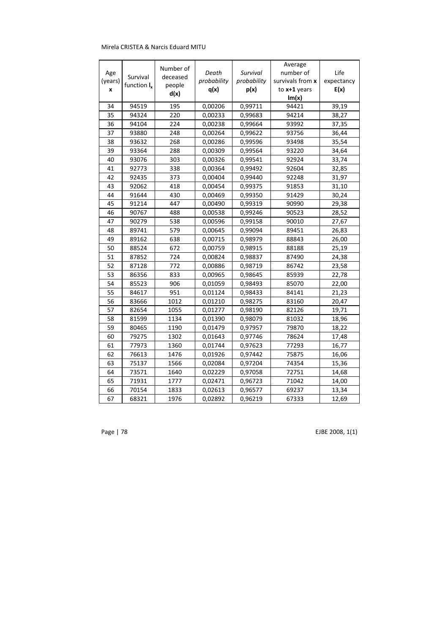|         |                | Number of |             |             | Average          |            |
|---------|----------------|-----------|-------------|-------------|------------------|------------|
| Age     | Survival       | deceased  | Death       | Survival    | number of        | Life       |
| (years) | function $I_x$ | people    | probability | probability | survivals from x | expectancy |
| x       |                | d(x)      | q(x)        | p(x)        | to $x+1$ years   | E(x)       |
|         |                |           |             |             | Im(x)            |            |
| 34      | 94519          | 195       | 0,00206     | 0,99711     | 94421            | 39,19      |
| 35      | 94324          | 220       | 0,00233     | 0,99683     | 94214            | 38,27      |
| 36      | 94104          | 224       | 0,00238     | 0,99664     | 93992            | 37,35      |
| 37      | 93880          | 248       | 0,00264     | 0,99622     | 93756            | 36,44      |
| 38      | 93632          | 268       | 0,00286     | 0,99596     | 93498            | 35,54      |
| 39      | 93364          | 288       | 0,00309     | 0,99564     | 93220            | 34,64      |
| 40      | 93076          | 303       | 0,00326     | 0,99541     | 92924            | 33,74      |
| 41      | 92773          | 338       | 0,00364     | 0,99492     | 92604            | 32,85      |
| 42      | 92435          | 373       | 0,00404     | 0,99440     | 92248            | 31,97      |
| 43      | 92062          | 418       | 0,00454     | 0,99375     | 91853            | 31,10      |
| 44      | 91644          | 430       | 0,00469     | 0,99350     | 91429            | 30,24      |
| 45      | 91214          | 447       | 0,00490     | 0,99319     | 90990            | 29,38      |
| 46      | 90767          | 488       | 0,00538     | 0,99246     | 90523            | 28,52      |
| 47      | 90279          | 538       | 0,00596     | 0,99158     | 90010            | 27,67      |
| 48      | 89741          | 579       | 0,00645     | 0,99094     | 89451            | 26,83      |
| 49      | 89162          | 638       | 0,00715     | 0,98979     | 88843            | 26,00      |
| 50      | 88524          | 672       | 0,00759     | 0,98915     | 88188            | 25,19      |
| 51      | 87852          | 724       | 0,00824     | 0,98837     | 87490            | 24,38      |
| 52      | 87128          | 772       | 0,00886     | 0,98719     | 86742            | 23,58      |
| 53      | 86356          | 833       | 0,00965     | 0,98645     | 85939            | 22,78      |
| 54      | 85523          | 906       | 0,01059     | 0,98493     | 85070            | 22,00      |
| 55      | 84617          | 951       | 0,01124     | 0,98433     | 84141            | 21,23      |
| 56      | 83666          | 1012      | 0,01210     | 0,98275     | 83160            | 20,47      |
| 57      | 82654          | 1055      | 0,01277     | 0,98190     | 82126            | 19,71      |
| 58      | 81599          | 1134      | 0,01390     | 0,98079     | 81032            | 18,96      |
| 59      | 80465          | 1190      | 0,01479     | 0,97957     | 79870            | 18,22      |
| 60      | 79275          | 1302      | 0,01643     | 0,97746     | 78624            | 17,48      |
| 61      | 77973          | 1360      | 0,01744     | 0,97623     | 77293            | 16,77      |
| 62      | 76613          | 1476      | 0,01926     | 0,97442     | 75875            | 16,06      |
| 63      | 75137          | 1566      | 0,02084     | 0,97204     | 74354            | 15,36      |
| 64      | 73571          | 1640      | 0,02229     | 0,97058     | 72751            | 14,68      |
| 65      | 71931          | 1777      | 0,02471     | 0,96723     | 71042            | 14,00      |
| 66      | 70154          | 1833      | 0,02613     | 0,96577     | 69237            | 13,34      |
| 67      | 68321          | 1976      | 0,02892     | 0,96219     | 67333            | 12,69      |

Page | 78 EJBE 2008, 1(1)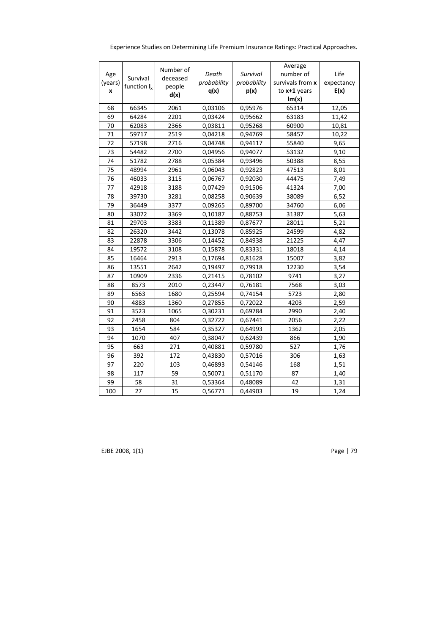| Experience Studies on Determining Life Premium Insurance Ratings: Practical Approaches. |  |
|-----------------------------------------------------------------------------------------|--|
|                                                                                         |  |

| Age<br>(years)<br>x | Survival<br>function $I_x$ | Number of<br>deceased<br>people<br>d(x) | Death<br>probability<br>q(x) | Survival<br>probability<br>p(x) | Average<br>number of<br>survivals from x<br>to x+1 years<br>Im(x) | Life<br>expectancy<br>E(x) |
|---------------------|----------------------------|-----------------------------------------|------------------------------|---------------------------------|-------------------------------------------------------------------|----------------------------|
| 68                  | 66345                      | 2061                                    | 0,03106                      | 0,95976                         | 65314                                                             | 12,05                      |
| 69                  | 64284                      | 2201                                    | 0,03424                      | 0,95662                         | 63183                                                             | 11,42                      |
| 70                  | 62083                      | 2366                                    | 0,03811                      | 0,95268                         | 60900                                                             | 10,81                      |
| 71                  | 59717                      | 2519                                    | 0,04218                      | 0,94769                         | 58457                                                             | 10,22                      |
| 72                  | 57198                      | 2716                                    | 0,04748                      | 0,94117                         | 55840                                                             | 9,65                       |
| 73                  | 54482                      | 2700                                    | 0,04956                      | 0,94077                         | 53132                                                             | 9,10                       |
| 74                  | 51782                      | 2788                                    | 0,05384                      | 0,93496                         | 50388                                                             | 8,55                       |
| 75                  | 48994                      | 2961                                    | 0,06043                      | 0,92823                         | 47513                                                             | 8,01                       |
| 76                  | 46033                      | 3115                                    | 0,06767                      | 0,92030                         | 44475                                                             | 7,49                       |
| 77                  | 42918                      | 3188                                    | 0,07429                      | 0,91506                         | 41324                                                             | 7,00                       |
| 78                  | 39730                      | 3281                                    | 0,08258                      | 0,90639                         | 38089                                                             | 6,52                       |
| 79                  | 36449                      | 3377                                    | 0,09265                      | 0,89700                         | 34760                                                             | 6,06                       |
| 80                  | 33072                      | 3369                                    | 0,10187                      | 0,88753                         | 31387                                                             | 5,63                       |
| 81                  | 29703                      | 3383                                    | 0,11389                      | 0,87677                         | 28011                                                             | 5,21                       |
| 82                  | 26320                      | 3442                                    | 0,13078                      | 0,85925                         | 24599                                                             | 4,82                       |
| 83                  | 22878                      | 3306                                    | 0,14452                      | 0,84938                         | 21225                                                             | 4,47                       |
| 84                  | 19572                      | 3108                                    | 0,15878                      | 0,83331                         | 18018                                                             | 4,14                       |
| 85                  | 16464                      | 2913                                    | 0,17694                      | 0,81628                         | 15007                                                             | 3,82                       |
| 86                  | 13551                      | 2642                                    | 0,19497                      | 0,79918                         | 12230                                                             | 3,54                       |
| 87                  | 10909                      | 2336                                    | 0,21415                      | 0,78102                         | 9741                                                              | 3,27                       |
| 88                  | 8573                       | 2010                                    | 0,23447                      | 0,76181                         | 7568                                                              | 3,03                       |
| 89                  | 6563                       | 1680                                    | 0,25594                      | 0,74154                         | 5723                                                              | 2,80                       |
| 90                  | 4883                       | 1360                                    | 0,27855                      | 0,72022                         | 4203                                                              | 2,59                       |
| 91                  | 3523                       | 1065                                    | 0,30231                      | 0,69784                         | 2990                                                              | 2,40                       |
| 92                  | 2458                       | 804                                     | 0,32722                      | 0,67441                         | 2056                                                              | 2,22                       |
| 93                  | 1654                       | 584                                     | 0,35327                      | 0,64993                         | 1362                                                              | 2,05                       |
| 94                  | 1070                       | 407                                     | 0,38047                      | 0,62439                         | 866                                                               | 1,90                       |
| 95                  | 663                        | 271                                     | 0,40881                      | 0,59780                         | 527                                                               | 1,76                       |
| 96                  | 392                        | 172                                     | 0,43830                      | 0,57016                         | 306                                                               | 1,63                       |
| 97                  | 220                        | 103                                     | 0,46893                      | 0,54146                         | 168                                                               | 1,51                       |
| 98                  | 117                        | 59                                      | 0,50071                      | 0,51170                         | 87                                                                | 1,40                       |
| 99                  | 58                         | 31                                      | 0,53364                      | 0,48089                         | 42                                                                | 1,31                       |
| 100                 | 27                         | 15                                      | 0,56771                      | 0,44903                         | 19                                                                | 1,24                       |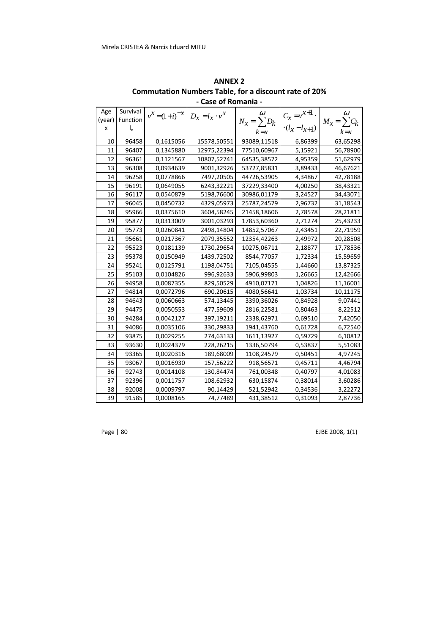| Age    | Survival                  | $v^X = (1+i)^{-X}$ | $D_x = l_x \cdot v^x$ | $\omega$         | $C_x = v^{x+1}$ .  | $\omega$         |
|--------|---------------------------|--------------------|-----------------------|------------------|--------------------|------------------|
| (year) | Function                  |                    |                       | $N_x = \sum D_k$ |                    | $M_x = \sum C_k$ |
| x      | $\mathsf{I}_{\mathsf{x}}$ |                    |                       | $k = x$          | $-(l_x - l_{x+1})$ | $k = x$          |
| 10     | 96458                     | 0,1615056          | 15578,50551           | 93089,11518      | 6,86399            | 63,65298         |
| 11     | 96407                     | 0,1345880          | 12975,22394           | 77510,60967      | 5,15921            | 56,78900         |
| 12     | 96361                     | 0,1121567          | 10807,52741           | 64535,38572      | 4,95359            | 51,62979         |
| 13     | 96308                     | 0,0934639          | 9001,32926            | 53727,85831      | 3,89433            | 46,67621         |
| 14     | 96258                     | 0,0778866          | 7497,20505            | 44726,53905      | 4,34867            | 42,78188         |
| 15     | 96191                     | 0,0649055          | 6243,32221            | 37229,33400      | 4,00250            | 38,43321         |
| 16     | 96117                     | 0,0540879          | 5198,76600            | 30986,01179      | 3,24527            | 34,43071         |
| 17     | 96045                     | 0,0450732          | 4329,05973            | 25787,24579      | 2,96732            | 31,18543         |
| 18     | 95966                     | 0,0375610          | 3604,58245            | 21458,18606      | 2,78578            | 28,21811         |
| 19     | 95877                     | 0,0313009          | 3001,03293            | 17853,60360      | 2,71274            | 25,43233         |
| 20     | 95773                     | 0,0260841          | 2498,14804            | 14852,57067      | 2,43451            | 22,71959         |
| 21     | 95661                     | 0,0217367          | 2079,35552            | 12354,42263      | 2,49972            | 20,28508         |
| 22     | 95523                     | 0,0181139          | 1730,29654            | 10275,06711      | 2,18877            | 17,78536         |
| 23     | 95378                     | 0,0150949          | 1439,72502            | 8544,77057       | 1,72334            | 15,59659         |
| 24     | 95241                     | 0,0125791          | 1198,04751            | 7105,04555       | 1,44660            | 13,87325         |
| 25     | 95103                     | 0,0104826          | 996,92633             | 5906,99803       | 1,26665            | 12,42666         |
| 26     | 94958                     | 0,0087355          | 829,50529             | 4910,07171       | 1,04826            | 11,16001         |
| 27     | 94814                     | 0,0072796          | 690,20615             | 4080,56641       | 1,03734            | 10,11175         |
| 28     | 94643                     | 0,0060663          | 574,13445             | 3390,36026       | 0,84928            | 9,07441          |
| 29     | 94475                     | 0,0050553          | 477,59609             | 2816,22581       | 0,80463            | 8,22512          |
| 30     | 94284                     | 0,0042127          | 397,19211             | 2338,62971       | 0,69510            | 7,42050          |
| 31     | 94086                     | 0,0035106          | 330,29833             | 1941,43760       | 0,61728            | 6,72540          |
| 32     | 93875                     | 0,0029255          | 274,63133             | 1611,13927       | 0,59729            | 6,10812          |
| 33     | 93630                     | 0,0024379          | 228,26215             | 1336,50794       | 0,53837            | 5,51083          |
| 34     | 93365                     | 0,0020316          | 189,68009             | 1108,24579       | 0,50451            | 4,97245          |
| 35     | 93067                     | 0,0016930          | 157,56222             | 918,56571        | 0,45711            | 4,46794          |
| 36     | 92743                     | 0,0014108          | 130,84474             | 761,00348        | 0,40797            | 4,01083          |
| 37     | 92396                     | 0,0011757          | 108,62932             | 630,15874        | 0,38014            | 3,60286          |
| 38     | 92008                     | 0,0009797          | 90,14429              | 521,52942        | 0,34536            | 3,22272          |
| 39     | 91585                     | 0,0008165          | 74,77489              | 431,38512        | 0,31093            | 2,87736          |

ANNEX 2 Commutation Numbers Table, for a discount rate of 20% - Case of Romania -

Page | 80 EJBE 2008, 1(1)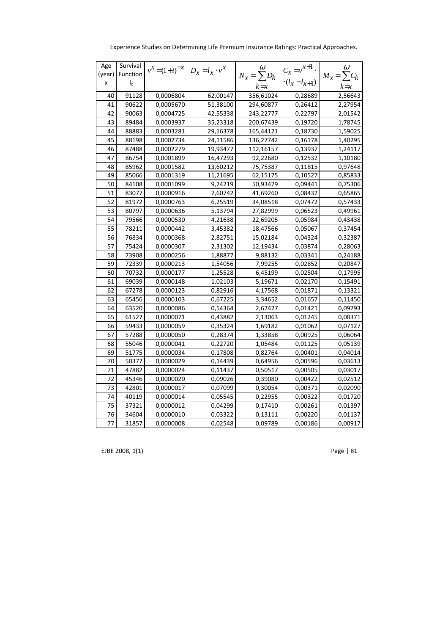| Age    | Survival                  | $v^X = (1+i)^{-X}$ $D_x = l_x \cdot v^X$ |          | $\omega$         | $C_x = v^{x+1}$ .       | $\omega$         |
|--------|---------------------------|------------------------------------------|----------|------------------|-------------------------|------------------|
| (year) | Function                  |                                          |          | $N_x = \sum D_k$ |                         | $M_x = \sum C_k$ |
| X      | $\mathsf{I}_{\mathsf{x}}$ |                                          |          | $k = x$          | $\cdot (l_x - l_{x+1})$ | $k = x$          |
| 40     | 91128                     | 0,0006804                                | 62,00147 | 356,61024        | 0,28689                 | 2,56643          |
| 41     | 90622                     | 0,0005670                                | 51,38100 | 294,60877        | 0,26412                 | 2,27954          |
| 42     | 90063                     | 0,0004725                                | 42,55338 | 243,22777        | 0,22797                 | 2,01542          |
| 43     | 89484                     | 0,0003937                                | 35,23318 | 200,67439        | 0,19720                 | 1,78745          |
| 44     | 88883                     | 0,0003281                                | 29,16378 | 165,44121        | 0,18730                 | 1,59025          |
| 45     | 88198                     | 0,0002734                                | 24,11586 | 136,27742        | 0,16178                 | 1,40295          |
| 46     | 87488                     | 0,0002279                                | 19,93477 | 112,16157        | 0,13937                 | 1,24117          |
| 47     | 86754                     | 0,0001899                                | 16,47293 | 92,22680         | 0,12532                 | 1,10180          |
| 48     | 85962                     | 0,0001582                                | 13,60212 | 75,75387         | 0,11815                 | 0,97648          |
| 49     | 85066                     | 0,0001319                                | 11,21695 | 62,15175         | 0,10527                 | 0,85833          |
| 50     | 84108                     | 0,0001099                                | 9,24219  | 50,93479         | 0,09441                 | 0,75306          |
| 51     | 83077                     | 0,0000916                                | 7,60742  | 41,69260         | 0,08432                 | 0,65865          |
| 52     | 81972                     | 0,0000763                                | 6,25519  | 34,08518         | 0,07472                 | 0,57433          |
| 53     | 80797                     | 0,0000636                                | 5,13794  | 27,82999         | 0,06523                 | 0,49961          |
| 54     | 79566                     | 0,0000530                                | 4,21638  | 22,69205         | 0,05984                 | 0,43438          |
| 55     | 78211                     | 0,0000442                                | 3,45382  | 18,47566         | 0,05067                 | 0,37454          |
| 56     | 76834                     | 0,0000368                                | 2,82751  | 15,02184         | 0,04324                 | 0,32387          |
| 57     | 75424                     | 0,0000307                                | 2,31302  | 12,19434         | 0,03874                 | 0,28063          |
| 58     | 73908                     | 0,0000256                                | 1,88877  | 9,88132          | 0,03341                 | 0,24188          |
| 59     | 72339                     | 0,0000213                                | 1,54056  | 7,99255          | 0,02852                 | 0,20847          |
| 60     | 70732                     | 0,0000177                                | 1,25528  | 6,45199          | 0,02504                 | 0,17995          |
| 61     | 69039                     | 0,0000148                                | 1,02103  | 5,19671          | 0,02170                 | 0,15491          |
| 62     | 67278                     | 0,0000123                                | 0,82916  | 4,17568          | 0,01871                 | 0,13321          |
| 63     | 65456                     | 0,0000103                                | 0,67225  | 3,34652          | 0,01657                 | 0,11450          |
| 64     | 63520                     | 0,0000086                                | 0,54364  | 2,67427          | 0,01421                 | 0,09793          |
| 65     | 61527                     | 0,0000071                                | 0,43882  | 2,13063          | 0,01245                 | 0,08371          |
| 66     | 59433                     | 0,0000059                                | 0,35324  | 1,69182          | 0,01062                 | 0,07127          |
| 67     | 57288                     | 0,0000050                                | 0,28374  | 1,33858          | 0,00925                 | 0,06064          |
| 68     | 55046                     | 0,0000041                                | 0,22720  | 1,05484          | 0,01125                 | 0,05139          |
| 69     | 51775                     | 0,0000034                                | 0,17808  | 0,82764          | 0,00401                 | 0,04014          |
| 70     | 50377                     | 0,0000029                                | 0,14439  | 0,64956          | 0,00596                 | 0,03613          |
| 71     | 47882                     | 0,0000024                                | 0,11437  | 0,50517          | 0,00505                 | 0,03017          |
| 72     | 45346                     | 0,0000020                                | 0,09026  | 0,39080          | 0,00422                 | 0,02512          |
| 73     | 42801                     | 0,0000017                                | 0,07099  | 0,30054          | 0,00371                 | 0,02090          |
| 74     | 40119                     | 0,0000014                                | 0,05545  | 0,22955          | 0,00322                 | 0,01720          |
| 75     | 37321                     | 0,0000012                                | 0,04299  | 0,17410          | 0,00261                 | 0,01397          |
| 76     | 34604                     | 0,0000010                                | 0,03322  | 0,13111          | 0,00220                 | 0,01137          |
| 77     | 31857                     | 0,0000008                                | 0,02548  | 0,09789          | 0,00186                 | 0,00917          |